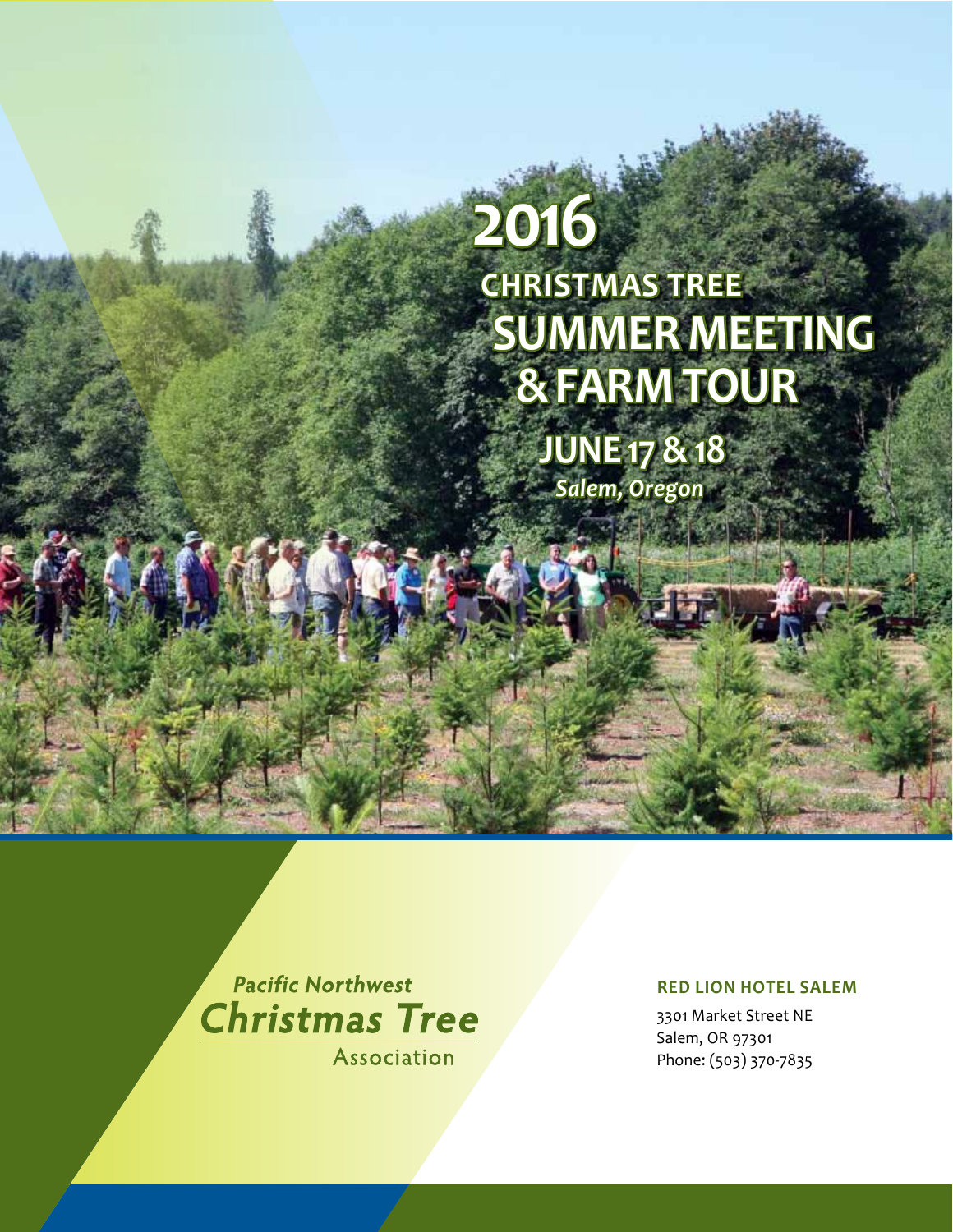# **Christmas Tree Summer Meeting & Farm Tour 2016**

**June 17 & 18** *Salem, Oregon*

**Pacific Northwest Christmas Tree** 

**Association** 

#### **Red Lion Hotel Salem**

3301 Market Street NE Salem, OR 97301 Phone: (503) 370-7835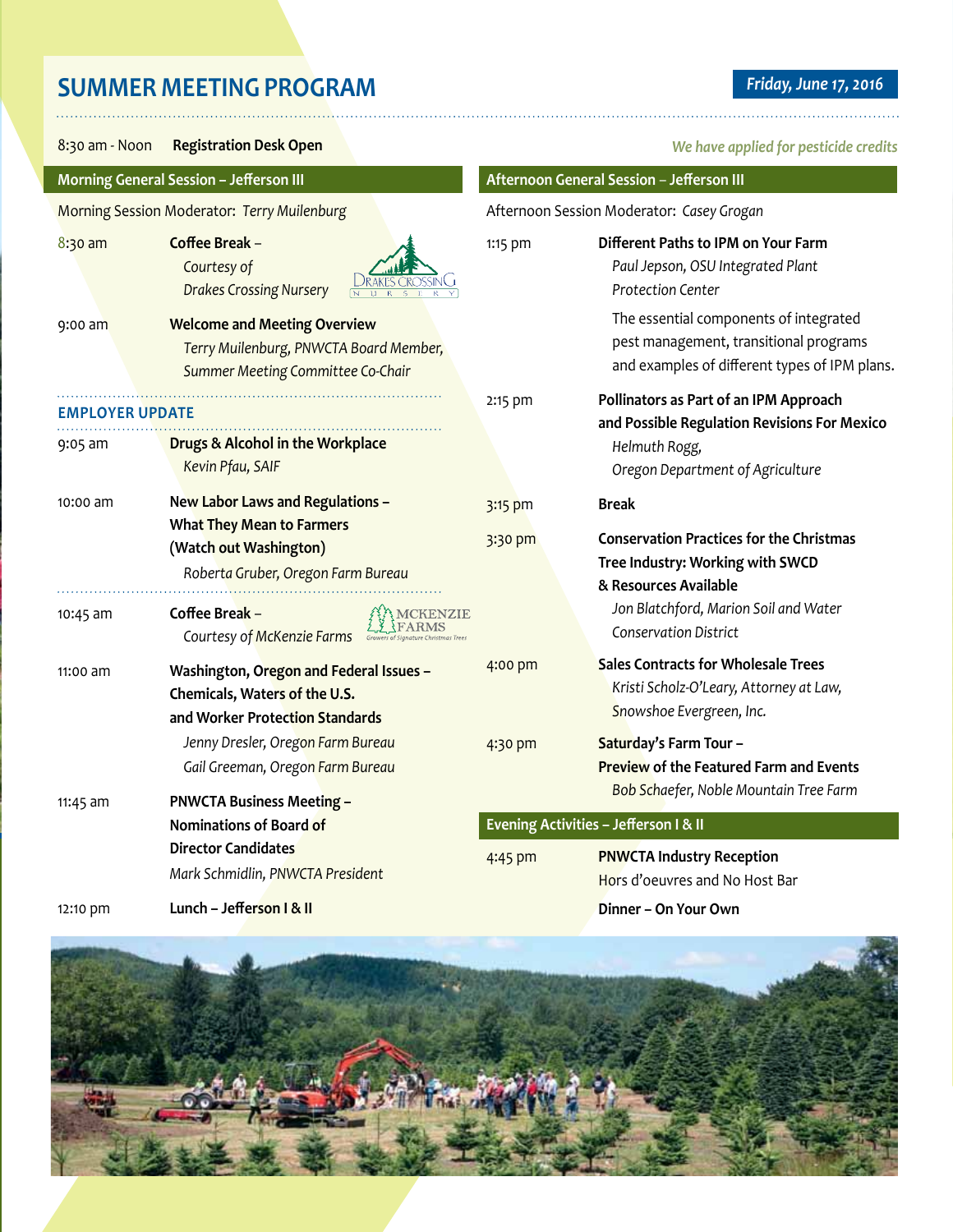# **SUMMER MEETING PROGRAM** *Friday, June 17, 2016*

8:30 am - Noon **Registration Desk Open Afternoon General Session** – **Jefferson III Morning General Session – Jefferson III** Morning Session Moderator: *Terry Muilenburg* Afternoon Session Moderator: *Casey Grogan* 8:30 am **Coffee Break** – 1:15 pm **Different Paths to IPM on Your Farm** *Courtesy of Paul Jepson, OSU Integrated Plant Drakes Crossing Nursery Protection Center* The essential components of integrated 9:00 am **Welcome and Meeting Overview** pest management, transitional programs *Terry Muilenburg, PNWCTA Board Member,*  and examples of different types of IPM plans. *Summer Meeting Committee Co-Chair* 2:15 pm **Pollinators as Part of an IPM Approach Employer Update and Possible Regulation Revisions For Mexico** 9:05 am **Drugs & Alcohol in the Workplace** *Helmuth Rogg, Kevin Pfau, SAIF Oregon Department of Agriculture* 10:00 am **New Labor Laws and Regulations –**  3:15 pm **Break What They Mean to Farmers**  3:30 pm **Conservation Practices for the Christmas (Watch out Washington) Tree Industry: Working with SWCD**  *Roberta Gruber, Oregon Farm Bureau* **& Resources Available MCKENZIE** *Jon Blatchford, Marion Soil and Water*  10:45 am **Coffee Break** – FARMS *Conservation District Courtesy of McKenzie Farms* 4:00 pm **Sales Contracts for Wholesale Trees** 11:00 am **Washington, Oregon and Federal Issues –**  *Kristi Scholz-O'Leary, Attorney at Law,*  **Chemicals, Waters of the U.S.**  *Snowshoe Evergreen, Inc.*  **and Worker Protection Standards** *Jenny Dresler, Oregon Farm Bureau* 4:30 pm **Saturday's Farm Tour – Preview of the Featured Farm and Events** *Gail Greeman, Oregon Farm Bureau Bob Schaefer, Noble Mountain Tree Farm* 11:45 am **PNWCTA Business Meeting – Evening Activities – Jefferson I & II Nominations of Board of Director Candidates** 4:45 pm **PNWCTA Industry Reception**

*Mark Schmidlin, PNWCTA President*

12:10 pm **Lunch – Jefferson I & II**

#### *We have applied for pesticide credits*

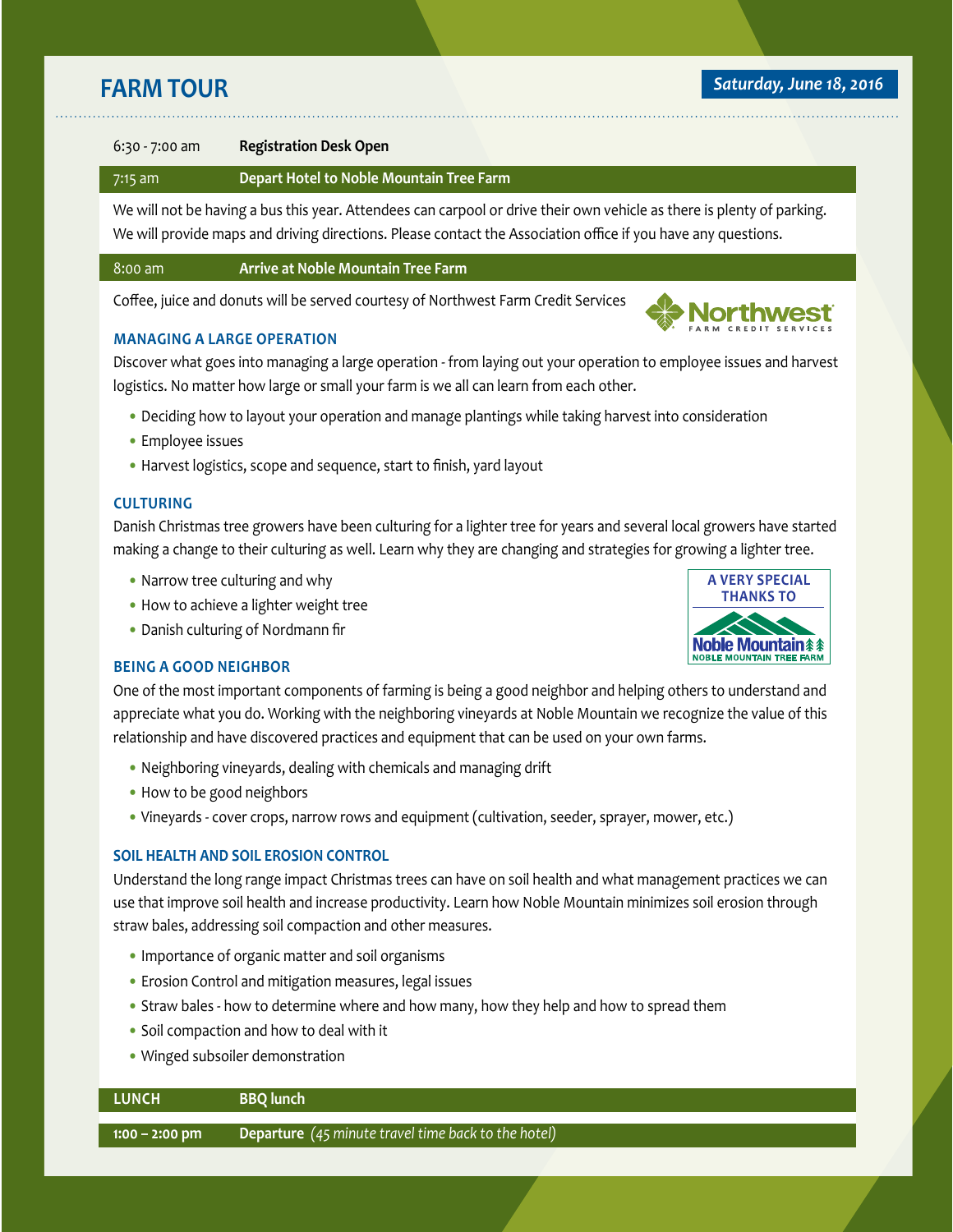#### **farm Tour** *farm tour**Saturday, June 18, 2016*

#### 6:30 - 7:00 am **Registration Desk Open**

#### 7:15 am **Depart Hotel to Noble Mountain Tree Farm**

We will not be having a bus this year. Attendees can carpool or drive their own vehicle as there is plenty of parking. We will provide maps and driving directions. Please contact the Association office if you have any questions.

#### 8:00 am **Arrive at Noble Mountain Tree Farm**

Coffee, juice and donuts will be served courtesy of Northwest Farm Credit Services

#### **Managing a Large Operation**

Discover what goes into managing a large operation - from laying out your operation to employee issues and harvest logistics. No matter how large or small your farm is we all can learn from each other.

- Deciding how to layout your operation and manage plantings while taking harvest into consideration
- Employee issues
- Harvest logistics, scope and sequence, start to finish, yard layout

#### **Culturing**

Danish Christmas tree growers have been culturing for a lighter tree for years and several local growers have started making a change to their culturing as well. Learn why they are changing and strategies for growing a lighter tree.

- Narrow tree culturing and why
- How to achieve a lighter weight tree
- Danish culturing of Nordmann fir

#### **Being a Good Neighbor**

One of the most important components of farming is being a good neighbor and helping others to understand and appreciate what you do. Working with the neighboring vineyards at Noble Mountain we recognize the value of this relationship and have discovered practices and equipment that can be used on your own farms.

- Neighboring vineyards, dealing with chemicals and managing drift
- How to be good neighbors
- Vineyards cover crops, narrow rows and equipment (cultivation, seeder, sprayer, mower, etc.)

#### **SOIL HEALTH AND SOIL EROSION CONTROL**

Understand the long range impact Christmas trees can have on soil health and what management practices we can use that improve soil health and increase productivity. Learn how Noble Mountain minimizes soil erosion through straw bales, addressing soil compaction and other measures.

- Importance of organic matter and soil organisms
- Erosion Control and mitigation measures, legal issues
- Straw bales how to determine where and how many, how they help and how to spread them
- Soil compaction and how to deal with it
- Winged subsoiler demonstration

## **Lunch BBQ lunch 1:00 – 2:00 pm Departure** *(45 minute travel time back to the hotel)*



Northwest >